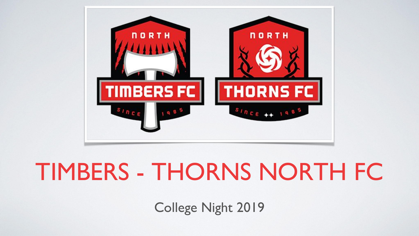

#### TIMBERS - THORNS NORTH FC

College Night 2019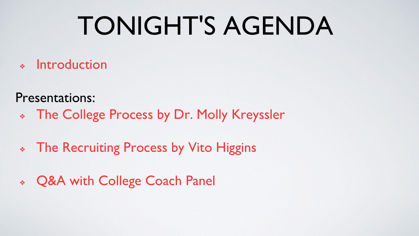### TONIGHT'S AGENDA

❖ Introduction

Presentations:

- ❖ The College Process by Dr. Molly Kreyssler
- ❖ The Recruiting Process by Vito Higgins
- ❖ Q&A with College Coach Panel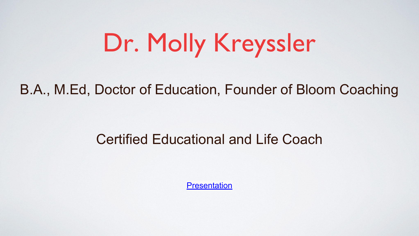### Dr. Molly Kreyssler

#### B.A., M.Ed, Doctor of Education, Founder of Bloom Coaching

#### Certified Educational and Life Coach

**[Presentation](https://drive.google.com/open?id=173Z30hA4dJSYfow1bBojeNq-TVQC_kqRWWBMs3gUdMQ)**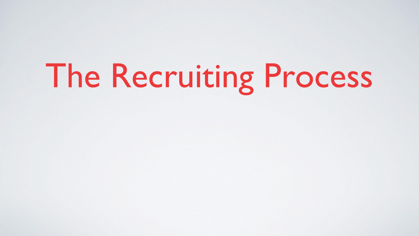# The Recruiting Process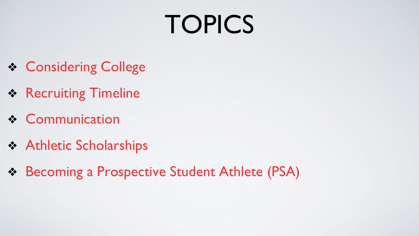## **TOPICS**

- ❖ Considering College
- ❖ Recruiting Timeline
- ❖ Communication
- ❖ Athletic Scholarships
- ❖ Becoming a Prospective Student Athlete (PSA)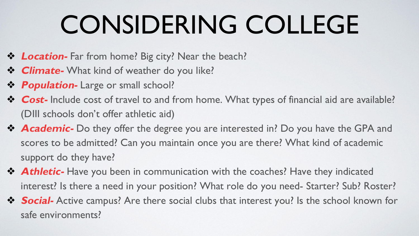## CONSIDERING COLLEGE

- ❖ **Location-** Far from home? Big city? Near the beach?
- ❖ **Climate-** What kind of weather do you like?
- ❖ **Population-** Large or small school?
- ❖ **Cost-** Include cost of travel to and from home. What types of financial aid are available? (DIII schools don't offer athletic aid)
- ❖ **Academic-** Do they offer the degree you are interested in? Do you have the GPA and scores to be admitted? Can you maintain once you are there? What kind of academic support do they have?
- **❖ Athletic-** Have you been in communication with the coaches? Have they indicated interest? Is there a need in your position? What role do you need- Starter? Sub? Roster?
- ❖ **Social-** Active campus? Are there social clubs that interest you? Is the school known for safe environments?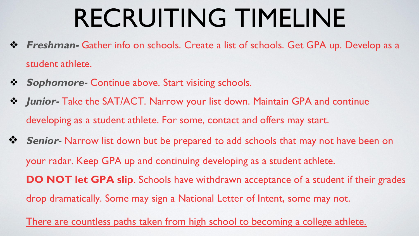#### RECRUITING TIMELINE

- ❖ **Freshman-** Gather info on schools. Create a list of schools. Get GPA up. Develop as a student athlete.
- ❖ **Sophomore-** Continue above. Start visiting schools.
- ❖ **Junior-** Take the SAT/ACT. Narrow your list down. Maintain GPA and continue developing as a student athlete. For some, contact and offers may start.
- ❖ **Senior-** Narrow list down but be prepared to add schools that may not have been on your radar. Keep GPA up and continuing developing as a student athlete. **DO NOT let GPA slip.** Schools have withdrawn acceptance of a student if their grades drop dramatically. Some may sign a National Letter of Intent, some may not.

There are countless paths taken from high school to becoming a college athlete.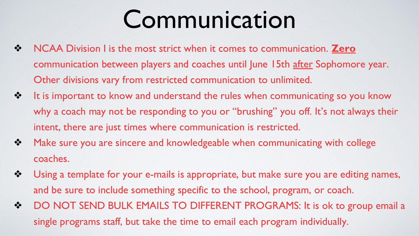#### Communication

- ❖ NCAA Division I is the most strict when it comes to communication. **Zero** communication between players and coaches until June 15th after Sophomore year. Other divisions vary from restricted communication to unlimited.
- ❖ It is important to know and understand the rules when communicating so you know why a coach may not be responding to you or "brushing" you off. It's not always their intent, there are just times where communication is restricted.
- ❖ Make sure you are sincere and knowledgeable when communicating with college coaches.
- ❖ Using a template for your e-mails is appropriate, but make sure you are editing names, and be sure to include something specific to the school, program, or coach.
- ❖ DO NOT SEND BULK EMAILS TO DIFFERENT PROGRAMS: It is ok to group email a single programs staff, but take the time to email each program individually.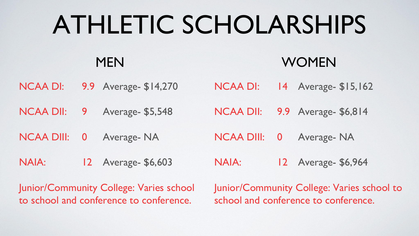### ATHLETIC SCHOLARSHIPS

#### **MEN**

#### WOMEN

NCAA DI: 9.9 Average- \$14,270 NCAA DI: 14 Average- \$15,162

NCAA DII: 9 Average- \$5,548 NCAA DII: 9.9 Average- \$6,814

NCAA DIII: 0 Average- NA NCAA DIII: 0 Average- NA

NAIA: 12 Average- \$6,603 NAIA: 12 Average- \$6,964

Junior/Community College: Varies school to school and conference to conference.

Junior/Community College: Varies school to school and conference to conference.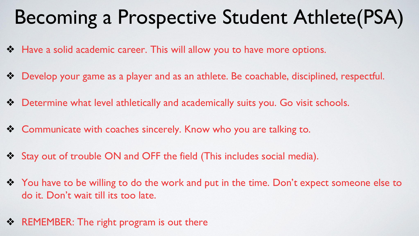#### Becoming a Prospective Student Athlete(PSA)

- ❖ Have a solid academic career. This will allow you to have more options.
- ❖ Develop your game as a player and as an athlete. Be coachable, disciplined, respectful.
- ❖ Determine what level athletically and academically suits you. Go visit schools.
- ❖ Communicate with coaches sincerely. Know who you are talking to.
- ❖ Stay out of trouble ON and OFF the field (This includes social media).
- ❖ You have to be willing to do the work and put in the time. Don't expect someone else to do it. Don't wait till its too late.
- **❖ REMEMBER:** The right program is out there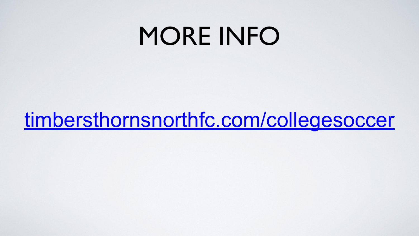#### MORE INFO

[timbersthornsnorthfc.com/collegesoccer](https://www.timbersthornsnorthfc.com/collegesoccer)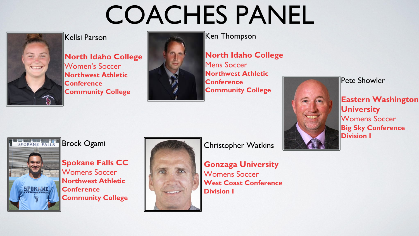#### COACHES PANEL



#### Kellsi Parson

**North Idaho College** Women's Soccer **Northwest Athletic Conference Community College**



Ken Thompson

**North Idaho College** Mens Soccer **Northwest Athletic Conference Community College**



Pete Showler

**Eastern Washington University** Womens Soccer **Big Sky Conference Division I**

SPOKANE FALLS Brock Ogami



**Spokane Falls CC** Womens Soccer **Northwest Athletic Conference Community College**



Christopher Watkins

**Gonzaga University** Womens Soccer **West Coast Conference Division I**